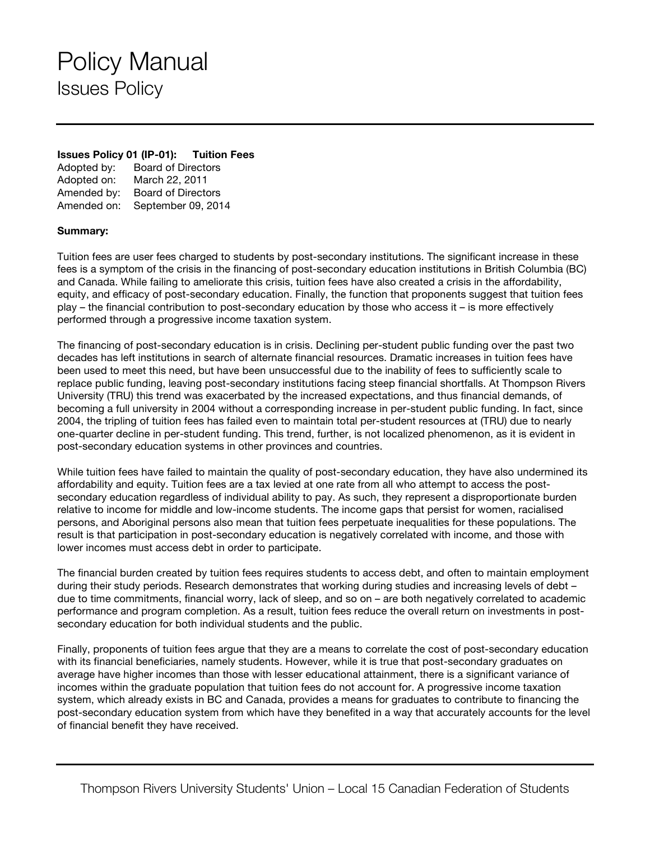## Policy Manual Issues Policy

## **Issues Policy 01 (IP-01): Tuition Fees**

| Adopted by: | <b>Board of Directors</b> |
|-------------|---------------------------|
| Adopted on: | March 22, 2011            |
| Amended by: | <b>Board of Directors</b> |
| Amended on: | September 09, 2014        |

## **Summary:**

Tuition fees are user fees charged to students by post-secondary institutions. The significant increase in these fees is a symptom of the crisis in the financing of post-secondary education institutions in British Columbia (BC) and Canada. While failing to ameliorate this crisis, tuition fees have also created a crisis in the affordability, equity, and efficacy of post-secondary education. Finally, the function that proponents suggest that tuition fees play – the financial contribution to post-secondary education by those who access it – is more effectively performed through a progressive income taxation system.

The financing of post-secondary education is in crisis. Declining per-student public funding over the past two decades has left institutions in search of alternate financial resources. Dramatic increases in tuition fees have been used to meet this need, but have been unsuccessful due to the inability of fees to sufficiently scale to replace public funding, leaving post-secondary institutions facing steep financial shortfalls. At Thompson Rivers University (TRU) this trend was exacerbated by the increased expectations, and thus financial demands, of becoming a full university in 2004 without a corresponding increase in per-student public funding. In fact, since 2004, the tripling of tuition fees has failed even to maintain total per-student resources at (TRU) due to nearly one-quarter decline in per-student funding. This trend, further, is not localized phenomenon, as it is evident in post-secondary education systems in other provinces and countries.

While tuition fees have failed to maintain the quality of post-secondary education, they have also undermined its affordability and equity. Tuition fees are a tax levied at one rate from all who attempt to access the postsecondary education regardless of individual ability to pay. As such, they represent a disproportionate burden relative to income for middle and low-income students. The income gaps that persist for women, racialised persons, and Aboriginal persons also mean that tuition fees perpetuate inequalities for these populations. The result is that participation in post-secondary education is negatively correlated with income, and those with lower incomes must access debt in order to participate.

The financial burden created by tuition fees requires students to access debt, and often to maintain employment during their study periods. Research demonstrates that working during studies and increasing levels of debt – due to time commitments, financial worry, lack of sleep, and so on – are both negatively correlated to academic performance and program completion. As a result, tuition fees reduce the overall return on investments in postsecondary education for both individual students and the public.

Finally, proponents of tuition fees argue that they are a means to correlate the cost of post-secondary education with its financial beneficiaries, namely students. However, while it is true that post-secondary graduates on average have higher incomes than those with lesser educational attainment, there is a significant variance of incomes within the graduate population that tuition fees do not account for. A progressive income taxation system, which already exists in BC and Canada, provides a means for graduates to contribute to financing the post-secondary education system from which have they benefited in a way that accurately accounts for the level of financial benefit they have received.